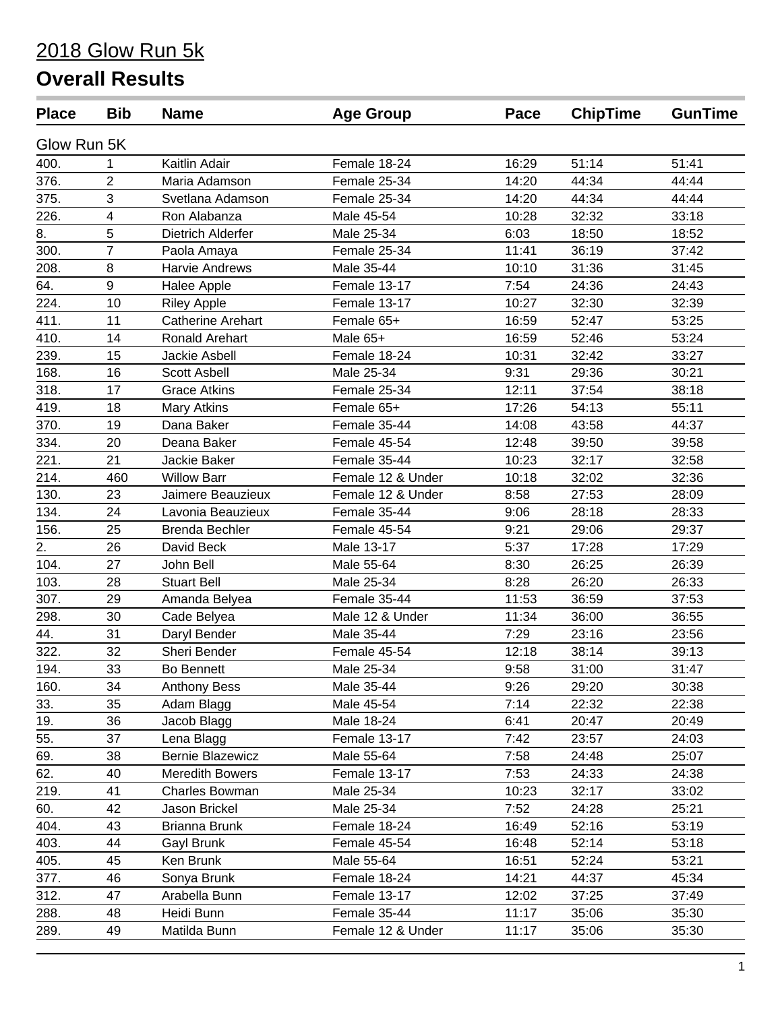# 2018 Glow Run 5k

## **Overall Results**

| <b>Place</b> | <b>Bib</b>              | <b>Name</b>              | <b>Age Group</b>  | Pace  | <b>ChipTime</b> | <b>GunTime</b> |
|--------------|-------------------------|--------------------------|-------------------|-------|-----------------|----------------|
| Glow Run 5K  |                         |                          |                   |       |                 |                |
| 400.         |                         | Kaitlin Adair            | Female 18-24      | 16:29 | 51:14           | 51:41          |
| 376.         | $\overline{2}$          | Maria Adamson            | Female 25-34      | 14:20 | 44:34           | 44:44          |
| 375.         | 3                       | Svetlana Adamson         | Female 25-34      | 14:20 | 44:34           | 44:44          |
| 226.         | $\overline{\mathbf{4}}$ | Ron Alabanza             | Male 45-54        | 10:28 | 32:32           | 33:18          |
| 8.           | 5                       | Dietrich Alderfer        | Male 25-34        | 6:03  | 18:50           | 18:52          |
| 300.         | $\overline{7}$          | Paola Amaya              | Female 25-34      | 11:41 | 36:19           | 37:42          |
| 208.         | 8                       | Harvie Andrews           | Male 35-44        | 10:10 | 31:36           | 31:45          |
| 64.          | 9                       | Halee Apple              | Female 13-17      | 7:54  | 24:36           | 24:43          |
| 224.         | 10                      | <b>Riley Apple</b>       | Female 13-17      | 10:27 | 32:30           | 32:39          |
| 411.         | 11                      | <b>Catherine Arehart</b> | Female 65+        | 16:59 | 52:47           | 53:25          |
| 410.         | 14                      | Ronald Arehart           | Male 65+          | 16:59 | 52:46           | 53:24          |
| 239.         | 15                      | Jackie Asbell            | Female 18-24      | 10:31 | 32:42           | 33:27          |
| 168.         | 16                      | <b>Scott Asbell</b>      | Male 25-34        | 9:31  | 29:36           | 30:21          |
| 318.         | 17                      | <b>Grace Atkins</b>      | Female 25-34      | 12:11 | 37:54           | 38:18          |
| 419.         | 18                      | <b>Mary Atkins</b>       | Female 65+        | 17:26 | 54:13           | 55:11          |
| 370.         | 19                      | Dana Baker               | Female 35-44      | 14:08 | 43:58           | 44:37          |
| 334.         | 20                      | Deana Baker              | Female 45-54      | 12:48 | 39:50           | 39:58          |
| 221.         | 21                      | Jackie Baker             | Female 35-44      | 10:23 | 32:17           | 32:58          |
| 214.         | 460                     | <b>Willow Barr</b>       | Female 12 & Under | 10:18 | 32:02           | 32:36          |
| 130.         | 23                      | Jaimere Beauzieux        | Female 12 & Under | 8:58  | 27:53           | 28:09          |
| 134.         | 24                      | Lavonia Beauzieux        | Female 35-44      | 9:06  | 28:18           | 28:33          |
| 156.         | 25                      | <b>Brenda Bechler</b>    | Female 45-54      | 9:21  | 29:06           | 29:37          |
| 2.           | 26                      | David Beck               | Male 13-17        | 5:37  | 17:28           | 17:29          |
| 104.         | 27                      | John Bell                | Male 55-64        | 8:30  | 26:25           | 26:39          |
| 103.         | 28                      | <b>Stuart Bell</b>       | Male 25-34        | 8:28  | 26:20           | 26:33          |
| 307.         | 29                      | Amanda Belyea            | Female 35-44      | 11:53 | 36:59           | 37:53          |
| 298.         | 30                      | Cade Belyea              | Male 12 & Under   | 11:34 | 36:00           | 36:55          |
| 44.          | 31                      | Daryl Bender             | Male 35-44        | 7:29  | 23:16           | 23:56          |
| 322.         | 32                      | Sheri Bender             | Female 45-54      | 12:18 | 38:14           | 39:13          |
| 194.         | 33                      | <b>Bo Bennett</b>        | Male 25-34        | 9:58  | 31:00           | 31:47          |
| 160.         | 34                      | <b>Anthony Bess</b>      | Male 35-44        | 9:26  | 29:20           | 30:38          |
| 33.          | 35                      | Adam Blagg               | Male 45-54        | 7:14  | 22:32           | 22:38          |
| 19.          | 36                      | Jacob Blagg              | Male 18-24        | 6:41  | 20:47           | 20:49          |
| 55.          | 37                      | Lena Blagg               | Female 13-17      | 7:42  | 23:57           | 24:03          |
| 69.          | 38                      | <b>Bernie Blazewicz</b>  | Male 55-64        | 7:58  | 24:48           | 25:07          |
| 62.          | 40                      | <b>Meredith Bowers</b>   | Female 13-17      | 7:53  | 24:33           | 24:38          |
| 219.         | 41                      | Charles Bowman           | Male 25-34        | 10:23 | 32:17           | 33:02          |
| 60.          | 42                      | Jason Brickel            | Male 25-34        | 7:52  | 24:28           | 25:21          |
| 404.         | 43                      | Brianna Brunk            | Female 18-24      | 16:49 | 52:16           | 53:19          |
| 403.         | 44                      | Gayl Brunk               | Female 45-54      | 16:48 | 52:14           | 53:18          |
| 405.         | 45                      | Ken Brunk                | Male 55-64        | 16:51 | 52:24           | 53:21          |
| 377.         | 46                      | Sonya Brunk              | Female 18-24      | 14:21 | 44:37           | 45:34          |
| 312.         | 47                      | Arabella Bunn            | Female 13-17      | 12:02 | 37:25           | 37:49          |
| 288.         | 48                      | Heidi Bunn               | Female 35-44      | 11:17 | 35:06           | 35:30          |
| 289.         | 49                      | Matilda Bunn             | Female 12 & Under | 11:17 | 35:06           | 35:30          |
|              |                         |                          |                   |       |                 |                |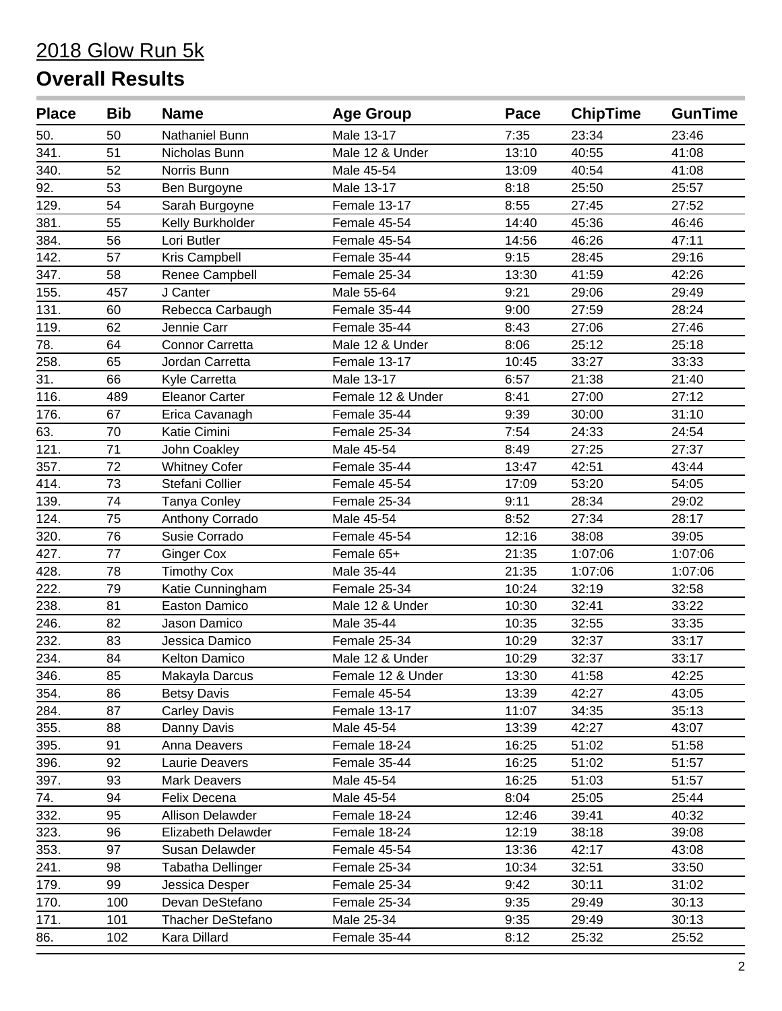| <b>Place</b>      | <b>Bib</b> | <b>Name</b>               | <b>Age Group</b>  | Pace  | <b>ChipTime</b> | <b>GunTime</b> |
|-------------------|------------|---------------------------|-------------------|-------|-----------------|----------------|
| 50.               | 50         | Nathaniel Bunn            | Male 13-17        | 7:35  | 23:34           | 23:46          |
| 341.              | 51         | Nicholas Bunn             | Male 12 & Under   | 13:10 | 40:55           | 41:08          |
| 340.              | 52         | Norris Bunn               | Male 45-54        | 13:09 | 40:54           | 41:08          |
| 92.               | 53         | Ben Burgoyne              | Male 13-17        | 8:18  | 25:50           | 25:57          |
| 129.              | 54         | Sarah Burgoyne            | Female 13-17      | 8:55  | 27:45           | 27:52          |
| 381.              | 55         | Kelly Burkholder          | Female 45-54      | 14:40 | 45:36           | 46:46          |
| 384.              | 56         | Lori Butler               | Female 45-54      | 14:56 | 46:26           | 47:11          |
| 142.              | 57         | Kris Campbell             | Female 35-44      | 9:15  | 28:45           | 29:16          |
| 347.              | 58         | Renee Campbell            | Female 25-34      | 13:30 | 41:59           | 42:26          |
| 155.              | 457        | J Canter                  | Male 55-64        | 9:21  | 29:06           | 29:49          |
| 131.              | 60         | Rebecca Carbaugh          | Female 35-44      | 9:00  | 27:59           | 28:24          |
| 119.              | 62         | Jennie Carr               | Female 35-44      | 8:43  | 27:06           | 27:46          |
| 78.               | 64         | <b>Connor Carretta</b>    | Male 12 & Under   | 8:06  | 25:12           | 25:18          |
| 258.              | 65         | Jordan Carretta           | Female 13-17      | 10:45 | 33:27           | 33:33          |
| $\overline{31}$ . | 66         | Kyle Carretta             | Male 13-17        | 6:57  | 21:38           | 21:40          |
| 116.              | 489        | <b>Eleanor Carter</b>     | Female 12 & Under | 8:41  | 27:00           | 27:12          |
| 176.              | 67         | Erica Cavanagh            | Female 35-44      | 9:39  | 30:00           | 31:10          |
| 63.               | 70         | Katie Cimini              | Female 25-34      | 7:54  | 24:33           | 24:54          |
| 121.              | 71         | John Coakley              | Male 45-54        | 8:49  | 27:25           | 27:37          |
| 357.              | 72         | <b>Whitney Cofer</b>      | Female 35-44      | 13:47 | 42:51           | 43:44          |
| 414.              | 73         | Stefani Collier           | Female 45-54      | 17:09 | 53:20           | 54:05          |
| 139.              | 74         | <b>Tanya Conley</b>       | Female 25-34      | 9:11  | 28:34           | 29:02          |
| 124.              | 75         | Anthony Corrado           | Male 45-54        | 8:52  | 27:34           | 28:17          |
| 320.              | 76         | Susie Corrado             | Female 45-54      | 12:16 | 38:08           | 39:05          |
| 427.              | 77         | <b>Ginger Cox</b>         | Female 65+        | 21:35 | 1:07:06         | 1:07:06        |
| 428.              | 78         | <b>Timothy Cox</b>        | Male 35-44        | 21:35 | 1:07:06         | 1:07:06        |
| 222.              | 79         | Katie Cunningham          | Female 25-34      | 10:24 | 32:19           | 32:58          |
| 238.              | 81         | <b>Easton Damico</b>      | Male 12 & Under   | 10:30 | 32:41           | 33:22          |
| 246.              | 82         | Jason Damico              | Male 35-44        | 10:35 | 32:55           | 33:35          |
| 232.              | 83         | Jessica Damico            | Female 25-34      | 10:29 | 32:37           | 33:17          |
| 234.              | 84         | Kelton Damico             | Male 12 & Under   | 10:29 | 32:37           | 33:17          |
| 346.              | 85         | Makayla Darcus            | Female 12 & Under | 13:30 | 41:58           | 42:25          |
| 354.              | 86         | <b>Betsy Davis</b>        | Female 45-54      | 13:39 | 42:27           | 43:05          |
| 284.              | 87         | <b>Carley Davis</b>       | Female 13-17      | 11:07 | 34:35           | 35:13          |
| 355.              | 88         | Danny Davis               | Male 45-54        | 13:39 | 42:27           | 43:07          |
| 395.              | 91         | Anna Deavers              | Female 18-24      | 16:25 | 51:02           | 51:58          |
| 396.              | 92         | Laurie Deavers            | Female 35-44      | 16:25 | 51:02           | 51:57          |
| 397.              | 93         | <b>Mark Deavers</b>       | Male 45-54        | 16:25 | 51:03           | 51:57          |
| 74.               | 94         | Felix Decena              | Male 45-54        | 8:04  | 25:05           | 25:44          |
| 332.              | 95         | <b>Allison Delawder</b>   | Female 18-24      | 12:46 | 39:41           | 40:32          |
| 323.              | 96         | <b>Elizabeth Delawder</b> | Female 18-24      | 12:19 | 38:18           | 39:08          |
| 353.              | 97         | Susan Delawder            | Female 45-54      | 13:36 | 42:17           | 43:08          |
| 241.              | 98         | Tabatha Dellinger         | Female 25-34      | 10:34 | 32:51           | 33:50          |
| 179.              | 99         | Jessica Desper            | Female 25-34      | 9:42  | 30:11           | 31:02          |
| 170.              | 100        | Devan DeStefano           | Female 25-34      | 9:35  | 29:49           | 30:13          |
| 171.              | 101        | <b>Thacher DeStefano</b>  | Male 25-34        | 9:35  | 29:49           | 30:13          |
| 86.               | 102        | Kara Dillard              | Female 35-44      | 8:12  | 25:32           | 25:52          |
|                   |            |                           |                   |       |                 |                |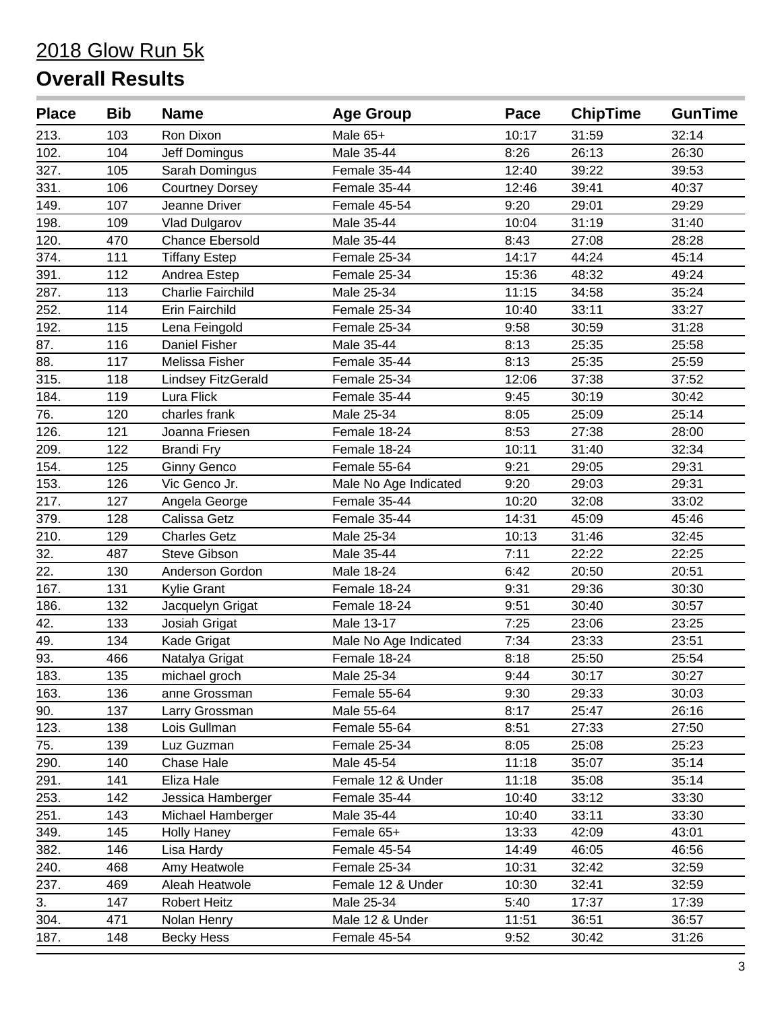| <b>Place</b> | <b>Bib</b> | <b>Name</b>              | <b>Age Group</b>      | Pace  | <b>ChipTime</b> | <b>GunTime</b> |
|--------------|------------|--------------------------|-----------------------|-------|-----------------|----------------|
| 213.         | 103        | Ron Dixon                | Male 65+              | 10:17 | 31:59           | 32:14          |
| 102.         | 104        | Jeff Domingus            | Male 35-44            | 8:26  | 26:13           | 26:30          |
| 327.         | 105        | Sarah Domingus           | Female 35-44          | 12:40 | 39:22           | 39:53          |
| 331.         | 106        | <b>Courtney Dorsey</b>   | Female 35-44          | 12:46 | 39:41           | 40:37          |
| 149.         | 107        | Jeanne Driver            | Female 45-54          | 9:20  | 29:01           | 29:29          |
| 198.         | 109        | <b>Vlad Dulgarov</b>     | Male 35-44            | 10:04 | 31:19           | 31:40          |
| 120.         | 470        | <b>Chance Ebersold</b>   | Male 35-44            | 8:43  | 27:08           | 28:28          |
| 374.         | 111        | <b>Tiffany Estep</b>     | Female 25-34          | 14:17 | 44:24           | 45:14          |
| 391.         | 112        | Andrea Estep             | Female 25-34          | 15:36 | 48:32           | 49:24          |
| 287.         | 113        | <b>Charlie Fairchild</b> | Male 25-34            | 11:15 | 34:58           | 35:24          |
| 252.         | 114        | Erin Fairchild           | Female 25-34          | 10:40 | 33:11           | 33:27          |
| 192.         | 115        | Lena Feingold            | Female 25-34          | 9:58  | 30:59           | 31:28          |
| 87.          | 116        | Daniel Fisher            | Male 35-44            | 8:13  | 25:35           | 25:58          |
| 88.          | 117        | Melissa Fisher           | Female 35-44          | 8:13  | 25:35           | 25:59          |
| 315.         | 118        | Lindsey FitzGerald       | Female 25-34          | 12:06 | 37:38           | 37:52          |
| 184.         | 119        | Lura Flick               | Female 35-44          | 9:45  | 30:19           | 30:42          |
| 76.          | 120        | charles frank            | Male 25-34            | 8:05  | 25:09           | 25:14          |
| 126.         | 121        | Joanna Friesen           | Female 18-24          | 8:53  | 27:38           | 28:00          |
| 209.         | 122        | <b>Brandi Fry</b>        | Female 18-24          | 10:11 | 31:40           | 32:34          |
| 154.         | 125        | <b>Ginny Genco</b>       | Female 55-64          | 9:21  | 29:05           | 29:31          |
| 153.         | 126        | Vic Genco Jr.            | Male No Age Indicated | 9:20  | 29:03           | 29:31          |
| 217.         | 127        | Angela George            | Female 35-44          | 10:20 | 32:08           | 33:02          |
| 379.         | 128        | Calissa Getz             | Female 35-44          | 14:31 | 45:09           | 45:46          |
| 210.         | 129        | <b>Charles Getz</b>      | Male 25-34            | 10:13 | 31:46           | 32:45          |
| 32.          | 487        | <b>Steve Gibson</b>      | Male 35-44            | 7:11  | 22:22           | 22:25          |
| 22.          | 130        | Anderson Gordon          | Male 18-24            | 6:42  | 20:50           | 20:51          |
| 167.         | 131        | Kylie Grant              | Female 18-24          | 9:31  | 29:36           | 30:30          |
| 186.         | 132        | Jacquelyn Grigat         | Female 18-24          | 9:51  | 30:40           | 30:57          |
| 42.          | 133        | Josiah Grigat            | Male 13-17            | 7:25  | 23:06           | 23:25          |
| 49.          | 134        | Kade Grigat              | Male No Age Indicated | 7:34  | 23:33           | 23:51          |
| 93.          | 466        | Natalya Grigat           | Female 18-24          | 8:18  | 25:50           | 25:54          |
| 183.         | 135        | michael groch            | Male 25-34            | 9:44  | 30:17           | 30:27          |
| 163.         | 136        | anne Grossman            | Female 55-64          | 9:30  | 29:33           | 30:03          |
| 90.          | 137        | Larry Grossman           | Male 55-64            | 8:17  | 25:47           | 26:16          |
| 123.         | 138        | Lois Gullman             | Female 55-64          | 8:51  | 27:33           | 27:50          |
| 75.          | 139        | Luz Guzman               | Female 25-34          | 8:05  | 25:08           | 25:23          |
| 290.         | 140        | Chase Hale               | Male 45-54            | 11:18 | 35:07           | 35:14          |
| 291.         | 141        | Eliza Hale               | Female 12 & Under     | 11:18 | 35:08           | 35:14          |
| 253.         | 142        | Jessica Hamberger        | Female 35-44          | 10:40 | 33:12           | 33:30          |
| 251.         | 143        | Michael Hamberger        | Male 35-44            | 10:40 | 33:11           | 33:30          |
| 349.         | 145        | <b>Holly Haney</b>       | Female 65+            | 13:33 | 42:09           | 43:01          |
| 382.         | 146        | Lisa Hardy               | Female 45-54          | 14:49 | 46:05           | 46:56          |
| 240.         | 468        | Amy Heatwole             | Female 25-34          | 10:31 | 32:42           | 32:59          |
| 237.         | 469        | Aleah Heatwole           | Female 12 & Under     | 10:30 | 32:41           | 32:59          |
| 3.           | 147        | <b>Robert Heitz</b>      | Male 25-34            | 5:40  | 17:37           | 17:39          |
| 304.         | 471        | Nolan Henry              | Male 12 & Under       | 11:51 | 36:51           | 36:57          |
| 187.         | 148        | <b>Becky Hess</b>        | Female 45-54          | 9:52  | 30:42           | 31:26          |
|              |            |                          |                       |       |                 |                |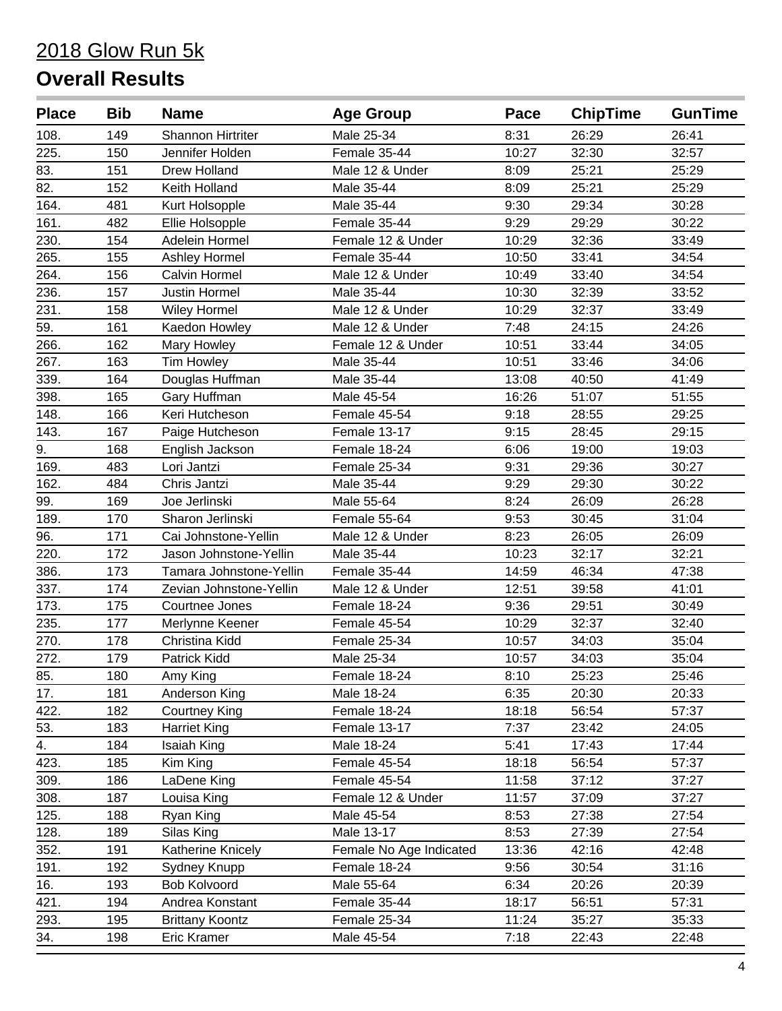| <b>Place</b> | <b>Bib</b> | <b>Name</b>              | <b>Age Group</b>        | Pace  | <b>ChipTime</b> | <b>GunTime</b> |
|--------------|------------|--------------------------|-------------------------|-------|-----------------|----------------|
| 108.         | 149        | <b>Shannon Hirtriter</b> | Male 25-34              | 8:31  | 26:29           | 26:41          |
| 225.         | 150        | Jennifer Holden          | Female 35-44            | 10:27 | 32:30           | 32:57          |
| 83.          | 151        | Drew Holland             | Male 12 & Under         | 8:09  | 25:21           | 25:29          |
| 82.          | 152        | Keith Holland            | Male 35-44              | 8:09  | 25:21           | 25:29          |
| 164.         | 481        | Kurt Holsopple           | Male 35-44              | 9:30  | 29:34           | 30:28          |
| 161.         | 482        | Ellie Holsopple          | Female 35-44            | 9:29  | 29:29           | 30:22          |
| 230.         | 154        | Adelein Hormel           | Female 12 & Under       | 10:29 | 32:36           | 33:49          |
| 265.         | 155        | Ashley Hormel            | Female 35-44            | 10:50 | 33:41           | 34:54          |
| 264.         | 156        | Calvin Hormel            | Male 12 & Under         | 10:49 | 33:40           | 34:54          |
| 236.         | 157        | Justin Hormel            | Male 35-44              | 10:30 | 32:39           | 33:52          |
| 231.         | 158        | <b>Wiley Hormel</b>      | Male 12 & Under         | 10:29 | 32:37           | 33:49          |
| 59.          | 161        | Kaedon Howley            | Male 12 & Under         | 7:48  | 24:15           | 24:26          |
| 266.         | 162        | Mary Howley              | Female 12 & Under       | 10:51 | 33:44           | 34:05          |
| 267.         | 163        | Tim Howley               | Male 35-44              | 10:51 | 33:46           | 34:06          |
| 339.         | 164        | Douglas Huffman          | Male 35-44              | 13:08 | 40:50           | 41:49          |
| 398.         | 165        | Gary Huffman             | Male 45-54              | 16:26 | 51:07           | 51:55          |
| 148.         | 166        | Keri Hutcheson           | Female 45-54            | 9:18  | 28:55           | 29:25          |
| 143.         | 167        | Paige Hutcheson          | Female 13-17            | 9:15  | 28:45           | 29:15          |
| 9.           | 168        | English Jackson          | Female 18-24            | 6:06  | 19:00           | 19:03          |
| 169.         | 483        | Lori Jantzi              | Female 25-34            | 9:31  | 29:36           | 30:27          |
| 162.         | 484        | Chris Jantzi             | Male 35-44              | 9:29  | 29:30           | 30:22          |
| 99.          | 169        | Joe Jerlinski            | Male 55-64              | 8:24  | 26:09           | 26:28          |
| 189.         | 170        | Sharon Jerlinski         | Female 55-64            | 9:53  | 30:45           | 31:04          |
| 96.          | 171        | Cai Johnstone-Yellin     | Male 12 & Under         | 8:23  | 26:05           | 26:09          |
| 220.         | 172        | Jason Johnstone-Yellin   | Male 35-44              | 10:23 | 32:17           | 32:21          |
| 386.         | 173        | Tamara Johnstone-Yellin  | Female 35-44            | 14:59 | 46:34           | 47:38          |
| 337.         | 174        | Zevian Johnstone-Yellin  | Male 12 & Under         | 12:51 | 39:58           | 41:01          |
| 173.         | 175        | Courtnee Jones           | Female 18-24            | 9:36  | 29:51           | 30:49          |
| 235.         | 177        | Merlynne Keener          | Female 45-54            | 10:29 | 32:37           | 32:40          |
| 270.         | 178        | Christina Kidd           | Female 25-34            | 10:57 | 34:03           | 35:04          |
| 272.         | 179        | Patrick Kidd             | Male 25-34              | 10:57 | 34:03           | 35:04          |
| 85.          | 180        | Amy King                 | Female 18-24            | 8:10  | 25:23           | 25:46          |
| 17.          | 181        | Anderson King            | Male 18-24              | 6:35  | 20:30           | 20:33          |
| 422.         | 182        | <b>Courtney King</b>     | Female 18-24            | 18:18 | 56:54           | 57:37          |
| 53.          | 183        | <b>Harriet King</b>      | Female 13-17            | 7:37  | 23:42           | 24:05          |
| 4.           | 184        | Isaiah King              | Male 18-24              | 5:41  | 17:43           | 17:44          |
| 423.         | 185        | Kim King                 | Female 45-54            | 18:18 | 56:54           | 57:37          |
| 309.         | 186        | LaDene King              | Female 45-54            | 11:58 | 37:12           | 37:27          |
| 308.         | 187        | Louisa King              | Female 12 & Under       | 11:57 | 37:09           | 37:27          |
| 125.         | 188        | Ryan King                | Male 45-54              | 8:53  | 27:38           | 27:54          |
| 128.         | 189        | Silas King               | Male 13-17              | 8:53  | 27:39           | 27:54          |
| 352.         | 191        | Katherine Knicely        | Female No Age Indicated | 13:36 | 42:16           | 42:48          |
| 191.         | 192        | Sydney Knupp             | Female 18-24            | 9:56  | 30:54           | 31:16          |
| 16.          | 193        | <b>Bob Kolvoord</b>      | Male 55-64              | 6:34  | 20:26           | 20:39          |
| 421.         | 194        | Andrea Konstant          | Female 35-44            | 18:17 | 56:51           | 57:31          |
| 293.         | 195        | <b>Brittany Koontz</b>   | Female 25-34            | 11:24 | 35:27           | 35:33          |
| 34.          | 198        | Eric Kramer              | Male 45-54              | 7:18  | 22:43           | 22:48          |
|              |            |                          |                         |       |                 |                |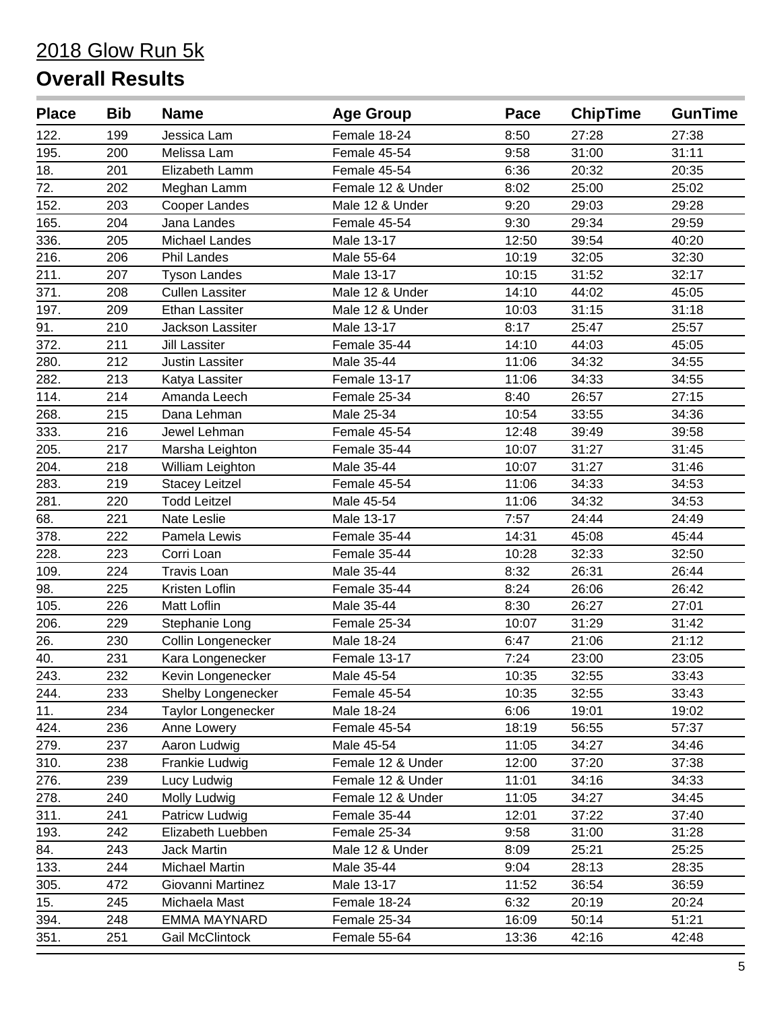| <b>Place</b> | <b>Bib</b> | <b>Name</b>            | <b>Age Group</b>  | Pace  | <b>ChipTime</b> | <b>GunTime</b> |
|--------------|------------|------------------------|-------------------|-------|-----------------|----------------|
| 122.         | 199        | Jessica Lam            | Female 18-24      | 8:50  | 27:28           | 27:38          |
| 195.         | 200        | Melissa Lam            | Female 45-54      | 9:58  | 31:00           | 31:11          |
| 18.          | 201        | Elizabeth Lamm         | Female 45-54      | 6:36  | 20:32           | 20:35          |
| 72.          | 202        | Meghan Lamm            | Female 12 & Under | 8:02  | 25:00           | 25:02          |
| 152.         | 203        | Cooper Landes          | Male 12 & Under   | 9:20  | 29:03           | 29:28          |
| 165.         | 204        | Jana Landes            | Female 45-54      | 9:30  | 29:34           | 29:59          |
| 336.         | 205        | Michael Landes         | Male 13-17        | 12:50 | 39:54           | 40:20          |
| 216.         | 206        | <b>Phil Landes</b>     | Male 55-64        | 10:19 | 32:05           | 32:30          |
| 211.         | 207        | <b>Tyson Landes</b>    | Male 13-17        | 10:15 | 31:52           | 32:17          |
| 371.         | 208        | <b>Cullen Lassiter</b> | Male 12 & Under   | 14:10 | 44:02           | 45:05          |
| 197.         | 209        | <b>Ethan Lassiter</b>  | Male 12 & Under   | 10:03 | 31:15           | 31:18          |
| 91.          | 210        | Jackson Lassiter       | Male 13-17        | 8:17  | 25:47           | 25:57          |
| 372.         | 211        | <b>Jill Lassiter</b>   | Female 35-44      | 14:10 | 44:03           | 45:05          |
| 280.         | 212        | <b>Justin Lassiter</b> | Male 35-44        | 11:06 | 34:32           | 34:55          |
| 282.         | 213        | Katya Lassiter         | Female 13-17      | 11:06 | 34:33           | 34:55          |
| 114.         | 214        | Amanda Leech           | Female 25-34      | 8:40  | 26:57           | 27:15          |
| 268.         | 215        | Dana Lehman            | Male 25-34        | 10:54 | 33:55           | 34:36          |
| 333.         | 216        | Jewel Lehman           | Female 45-54      | 12:48 | 39:49           | 39:58          |
| 205.         | 217        | Marsha Leighton        | Female 35-44      | 10:07 | 31:27           | 31:45          |
| 204.         | 218        | William Leighton       | Male 35-44        | 10:07 | 31:27           | 31:46          |
| 283.         | 219        | <b>Stacey Leitzel</b>  | Female 45-54      | 11:06 | 34:33           | 34:53          |
| 281.         | 220        | <b>Todd Leitzel</b>    | Male 45-54        | 11:06 | 34:32           | 34:53          |
| 68.          | 221        | <b>Nate Leslie</b>     | Male 13-17        | 7:57  | 24:44           | 24:49          |
| 378.         | 222        | Pamela Lewis           | Female 35-44      | 14:31 | 45:08           | 45:44          |
| 228.         | 223        | Corri Loan             | Female 35-44      | 10:28 | 32:33           | 32:50          |
| 109.         | 224        | <b>Travis Loan</b>     | Male 35-44        | 8:32  | 26:31           | 26:44          |
| 98.          | 225        | Kristen Loflin         | Female 35-44      | 8:24  | 26:06           | 26:42          |
| 105.         | 226        | Matt Loflin            | Male 35-44        | 8:30  | 26:27           | 27:01          |
| 206.         | 229        | Stephanie Long         | Female 25-34      | 10:07 | 31:29           | 31:42          |
| 26.          | 230        | Collin Longenecker     | Male 18-24        | 6:47  | 21:06           | 21:12          |
| 40.          | 231        | Kara Longenecker       | Female 13-17      | 7:24  | 23:00           | 23:05          |
| 243.         | 232        | Kevin Longenecker      | Male 45-54        | 10:35 | 32:55           | 33:43          |
| 244.         | 233        | Shelby Longenecker     | Female 45-54      | 10:35 | 32:55           | 33:43          |
| 11.          | 234        | Taylor Longenecker     | Male 18-24        | 6:06  | 19:01           | 19:02          |
| 424.         | 236        | Anne Lowery            | Female 45-54      | 18:19 | 56:55           | 57:37          |
| 279.         | 237        | Aaron Ludwig           | Male 45-54        | 11:05 | 34:27           | 34:46          |
| 310.         | 238        | Frankie Ludwig         | Female 12 & Under | 12:00 | 37:20           | 37:38          |
| 276.         | 239        | Lucy Ludwig            | Female 12 & Under | 11:01 | 34:16           | 34:33          |
| 278.         | 240        | Molly Ludwig           | Female 12 & Under | 11:05 | 34:27           | 34:45          |
| 311.         | 241        | Patricw Ludwig         | Female 35-44      | 12:01 | 37:22           | 37:40          |
| 193.         | 242        | Elizabeth Luebben      | Female 25-34      | 9:58  | 31:00           | 31:28          |
| 84.          | 243        | <b>Jack Martin</b>     | Male 12 & Under   | 8:09  | 25:21           | 25:25          |
| 133.         | 244        | Michael Martin         | Male 35-44        | 9:04  | 28:13           | 28:35          |
| 305.         | 472        | Giovanni Martinez      | Male 13-17        | 11:52 | 36:54           | 36:59          |
| 15.          | 245        | Michaela Mast          | Female 18-24      | 6:32  | 20:19           | 20:24          |
| 394.         | 248        | <b>EMMA MAYNARD</b>    | Female 25-34      | 16:09 | 50:14           | 51:21          |
| 351.         | 251        | <b>Gail McClintock</b> | Female 55-64      | 13:36 | 42:16           | 42:48          |
|              |            |                        |                   |       |                 |                |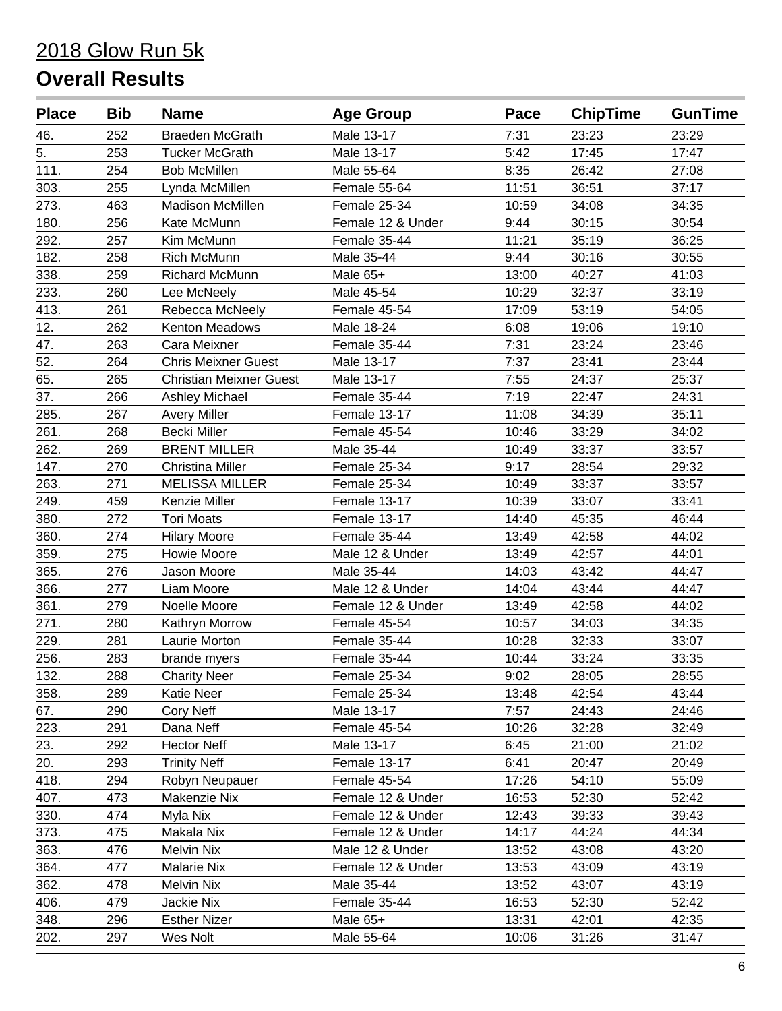| Male 13-17<br>7:31<br>23:23<br>46.<br>252<br><b>Braeden McGrath</b><br>23:29<br>5.<br>Male 13-17<br>5:42<br>17:45<br>17:47<br>253<br><b>Tucker McGrath</b><br>111.<br>254<br><b>Bob McMillen</b><br>Male 55-64<br>8:35<br>26:42<br>27:08<br>303.<br>255<br>Lynda McMillen<br>Female 55-64<br>11:51<br>36:51<br>37:17<br>273.<br>463<br><b>Madison McMillen</b><br>Female 25-34<br>10:59<br>34:08<br>34:35<br>180.<br>30:54<br>256<br>Kate McMunn<br>Female 12 & Under<br>9:44<br>30:15<br>292.<br>257<br>Kim McMunn<br>11:21<br>35:19<br>36:25<br>Female 35-44<br>182.<br>Rich McMunn<br>Male 35-44<br>9:44<br>30:16<br>258<br>30:55<br>338.<br>40:27<br>259<br>Richard McMunn<br>Male 65+<br>13:00<br>41:03<br>233.<br>10:29<br>32:37<br>33:19<br>260<br>Lee McNeely<br>Male 45-54<br>413.<br>261<br>Rebecca McNeely<br>Female 45-54<br>17:09<br>53:19<br>54:05<br>12.<br>262<br>Kenton Meadows<br>Male 18-24<br>6:08<br>19:06<br>19:10<br>23:24<br>263<br>Female 35-44<br>7:31<br>23:46<br>47.<br>Cara Meixner<br>52.<br><b>Chris Meixner Guest</b><br>264<br>7:37<br>23:41<br>23:44<br>Male 13-17<br>65.<br>265<br><b>Christian Meixner Guest</b><br>Male 13-17<br>7:55<br>24:37<br>25:37<br>37.<br>266<br>Ashley Michael<br>Female 35-44<br>7:19<br>22:47<br>24:31<br>285.<br>267<br>11:08<br>34:39<br>35:11<br><b>Avery Miller</b><br>Female 13-17<br>261.<br>268<br><b>Becki Miller</b><br>Female 45-54<br>10:46<br>33:29<br>34:02<br>262.<br><b>BRENT MILLER</b><br>33:37<br>269<br>Male 35-44<br>10:49<br>33:57<br>147.<br>Female 25-34<br>9:17<br>28:54<br>270<br><b>Christina Miller</b><br>29:32<br>263.<br>271<br><b>MELISSA MILLER</b><br>Female 25-34<br>33:37<br>10:49<br>33:57<br>249.<br>Kenzie Miller<br>459<br>Female 13-17<br>10:39<br>33:07<br>33:41<br>380.<br>272<br><b>Tori Moats</b><br>Female 13-17<br>14:40<br>45:35<br>46:44<br>360.<br>274<br>Female 35-44<br>13:49<br>42:58<br>44:02<br><b>Hilary Moore</b><br>359.<br>275<br>13:49<br>42:57<br>44:01<br>Howie Moore<br>Male 12 & Under<br>365.<br>276<br>Jason Moore<br>Male 35-44<br>14:03<br>43:42<br>44:47<br>366.<br>277<br>Liam Moore<br>Male 12 & Under<br>14:04<br>43:44<br>44:47<br>361.<br>279<br>Female 12 & Under<br>42:58<br>44:02<br>Noelle Moore<br>13:49<br>271.<br>280<br>Female 45-54<br>10:57<br>34:03<br>34:35<br>Kathryn Morrow<br>229.<br>Laurie Morton<br>10:28<br>32:33<br>281<br>Female 35-44<br>33:07<br>256.<br>Female 35-44<br>33:24<br>33:35<br>283<br>10:44<br>brande myers<br>28:55<br>132.<br>288<br>Female 25-34<br>9:02<br>28:05<br><b>Charity Neer</b><br>42:54<br>358.<br>289<br>Katie Neer<br>43:44<br>Female 25-34<br>13:48<br>67.<br>Male 13-17<br>7:57<br>24:43<br>24:46<br>290<br>Cory Neff<br>223.<br>291<br>10:26<br>32:28<br>32:49<br>Dana Neff<br>Female 45-54<br>23.<br>292<br><b>Hector Neff</b><br>Male 13-17<br>21:00<br>21:02<br>6:45<br>20.<br>293<br><b>Trinity Neff</b><br>Female 13-17<br>6:41<br>20:47<br>20:49<br>418.<br>294<br>Robyn Neupauer<br>Female 45-54<br>17:26<br>54:10<br>55:09<br>407.<br>52:30<br>52:42<br>473<br>Makenzie Nix<br>Female 12 & Under<br>16:53<br>330.<br>474<br>Myla Nix<br>12:43<br>39:33<br>Female 12 & Under<br>39:43<br>44:24<br>44:34<br>373.<br>475<br>Makala Nix<br>Female 12 & Under<br>14:17<br>363.<br>476<br>Melvin Nix<br>Male 12 & Under<br>13:52<br>43:08<br>43:20<br>364.<br>477<br>43:09<br>43:19<br><b>Malarie Nix</b><br>Female 12 & Under<br>13:53<br>362.<br>Male 35-44<br>13:52<br>43:07<br>43:19<br>478<br>Melvin Nix<br>406.<br>Female 35-44<br>16:53<br>52:42<br>479<br>Jackie Nix<br>52:30<br>348.<br>296<br><b>Esther Nizer</b><br>Male 65+<br>13:31<br>42:35<br>42:01<br>202.<br>Wes Nolt<br>Male 55-64<br>31:26<br>297<br>10:06<br>31:47 | <b>Place</b> | <b>Bib</b> | <b>Name</b> | <b>Age Group</b> | Pace | <b>ChipTime</b> | <b>GunTime</b> |
|----------------------------------------------------------------------------------------------------------------------------------------------------------------------------------------------------------------------------------------------------------------------------------------------------------------------------------------------------------------------------------------------------------------------------------------------------------------------------------------------------------------------------------------------------------------------------------------------------------------------------------------------------------------------------------------------------------------------------------------------------------------------------------------------------------------------------------------------------------------------------------------------------------------------------------------------------------------------------------------------------------------------------------------------------------------------------------------------------------------------------------------------------------------------------------------------------------------------------------------------------------------------------------------------------------------------------------------------------------------------------------------------------------------------------------------------------------------------------------------------------------------------------------------------------------------------------------------------------------------------------------------------------------------------------------------------------------------------------------------------------------------------------------------------------------------------------------------------------------------------------------------------------------------------------------------------------------------------------------------------------------------------------------------------------------------------------------------------------------------------------------------------------------------------------------------------------------------------------------------------------------------------------------------------------------------------------------------------------------------------------------------------------------------------------------------------------------------------------------------------------------------------------------------------------------------------------------------------------------------------------------------------------------------------------------------------------------------------------------------------------------------------------------------------------------------------------------------------------------------------------------------------------------------------------------------------------------------------------------------------------------------------------------------------------------------------------------------------------------------------------------------------------------------------------------------------------------------------------------------------------------------------------------------------------------------------------------------------------------------------------------------------------------------------------------------------------------------------------------------------------------------------------------------------------------------------------------------------------------------------------------------------------------------------------------------------------------------------------------------|--------------|------------|-------------|------------------|------|-----------------|----------------|
|                                                                                                                                                                                                                                                                                                                                                                                                                                                                                                                                                                                                                                                                                                                                                                                                                                                                                                                                                                                                                                                                                                                                                                                                                                                                                                                                                                                                                                                                                                                                                                                                                                                                                                                                                                                                                                                                                                                                                                                                                                                                                                                                                                                                                                                                                                                                                                                                                                                                                                                                                                                                                                                                                                                                                                                                                                                                                                                                                                                                                                                                                                                                                                                                                                                                                                                                                                                                                                                                                                                                                                                                                                                                                                                                        |              |            |             |                  |      |                 |                |
|                                                                                                                                                                                                                                                                                                                                                                                                                                                                                                                                                                                                                                                                                                                                                                                                                                                                                                                                                                                                                                                                                                                                                                                                                                                                                                                                                                                                                                                                                                                                                                                                                                                                                                                                                                                                                                                                                                                                                                                                                                                                                                                                                                                                                                                                                                                                                                                                                                                                                                                                                                                                                                                                                                                                                                                                                                                                                                                                                                                                                                                                                                                                                                                                                                                                                                                                                                                                                                                                                                                                                                                                                                                                                                                                        |              |            |             |                  |      |                 |                |
|                                                                                                                                                                                                                                                                                                                                                                                                                                                                                                                                                                                                                                                                                                                                                                                                                                                                                                                                                                                                                                                                                                                                                                                                                                                                                                                                                                                                                                                                                                                                                                                                                                                                                                                                                                                                                                                                                                                                                                                                                                                                                                                                                                                                                                                                                                                                                                                                                                                                                                                                                                                                                                                                                                                                                                                                                                                                                                                                                                                                                                                                                                                                                                                                                                                                                                                                                                                                                                                                                                                                                                                                                                                                                                                                        |              |            |             |                  |      |                 |                |
|                                                                                                                                                                                                                                                                                                                                                                                                                                                                                                                                                                                                                                                                                                                                                                                                                                                                                                                                                                                                                                                                                                                                                                                                                                                                                                                                                                                                                                                                                                                                                                                                                                                                                                                                                                                                                                                                                                                                                                                                                                                                                                                                                                                                                                                                                                                                                                                                                                                                                                                                                                                                                                                                                                                                                                                                                                                                                                                                                                                                                                                                                                                                                                                                                                                                                                                                                                                                                                                                                                                                                                                                                                                                                                                                        |              |            |             |                  |      |                 |                |
|                                                                                                                                                                                                                                                                                                                                                                                                                                                                                                                                                                                                                                                                                                                                                                                                                                                                                                                                                                                                                                                                                                                                                                                                                                                                                                                                                                                                                                                                                                                                                                                                                                                                                                                                                                                                                                                                                                                                                                                                                                                                                                                                                                                                                                                                                                                                                                                                                                                                                                                                                                                                                                                                                                                                                                                                                                                                                                                                                                                                                                                                                                                                                                                                                                                                                                                                                                                                                                                                                                                                                                                                                                                                                                                                        |              |            |             |                  |      |                 |                |
|                                                                                                                                                                                                                                                                                                                                                                                                                                                                                                                                                                                                                                                                                                                                                                                                                                                                                                                                                                                                                                                                                                                                                                                                                                                                                                                                                                                                                                                                                                                                                                                                                                                                                                                                                                                                                                                                                                                                                                                                                                                                                                                                                                                                                                                                                                                                                                                                                                                                                                                                                                                                                                                                                                                                                                                                                                                                                                                                                                                                                                                                                                                                                                                                                                                                                                                                                                                                                                                                                                                                                                                                                                                                                                                                        |              |            |             |                  |      |                 |                |
|                                                                                                                                                                                                                                                                                                                                                                                                                                                                                                                                                                                                                                                                                                                                                                                                                                                                                                                                                                                                                                                                                                                                                                                                                                                                                                                                                                                                                                                                                                                                                                                                                                                                                                                                                                                                                                                                                                                                                                                                                                                                                                                                                                                                                                                                                                                                                                                                                                                                                                                                                                                                                                                                                                                                                                                                                                                                                                                                                                                                                                                                                                                                                                                                                                                                                                                                                                                                                                                                                                                                                                                                                                                                                                                                        |              |            |             |                  |      |                 |                |
|                                                                                                                                                                                                                                                                                                                                                                                                                                                                                                                                                                                                                                                                                                                                                                                                                                                                                                                                                                                                                                                                                                                                                                                                                                                                                                                                                                                                                                                                                                                                                                                                                                                                                                                                                                                                                                                                                                                                                                                                                                                                                                                                                                                                                                                                                                                                                                                                                                                                                                                                                                                                                                                                                                                                                                                                                                                                                                                                                                                                                                                                                                                                                                                                                                                                                                                                                                                                                                                                                                                                                                                                                                                                                                                                        |              |            |             |                  |      |                 |                |
|                                                                                                                                                                                                                                                                                                                                                                                                                                                                                                                                                                                                                                                                                                                                                                                                                                                                                                                                                                                                                                                                                                                                                                                                                                                                                                                                                                                                                                                                                                                                                                                                                                                                                                                                                                                                                                                                                                                                                                                                                                                                                                                                                                                                                                                                                                                                                                                                                                                                                                                                                                                                                                                                                                                                                                                                                                                                                                                                                                                                                                                                                                                                                                                                                                                                                                                                                                                                                                                                                                                                                                                                                                                                                                                                        |              |            |             |                  |      |                 |                |
|                                                                                                                                                                                                                                                                                                                                                                                                                                                                                                                                                                                                                                                                                                                                                                                                                                                                                                                                                                                                                                                                                                                                                                                                                                                                                                                                                                                                                                                                                                                                                                                                                                                                                                                                                                                                                                                                                                                                                                                                                                                                                                                                                                                                                                                                                                                                                                                                                                                                                                                                                                                                                                                                                                                                                                                                                                                                                                                                                                                                                                                                                                                                                                                                                                                                                                                                                                                                                                                                                                                                                                                                                                                                                                                                        |              |            |             |                  |      |                 |                |
|                                                                                                                                                                                                                                                                                                                                                                                                                                                                                                                                                                                                                                                                                                                                                                                                                                                                                                                                                                                                                                                                                                                                                                                                                                                                                                                                                                                                                                                                                                                                                                                                                                                                                                                                                                                                                                                                                                                                                                                                                                                                                                                                                                                                                                                                                                                                                                                                                                                                                                                                                                                                                                                                                                                                                                                                                                                                                                                                                                                                                                                                                                                                                                                                                                                                                                                                                                                                                                                                                                                                                                                                                                                                                                                                        |              |            |             |                  |      |                 |                |
|                                                                                                                                                                                                                                                                                                                                                                                                                                                                                                                                                                                                                                                                                                                                                                                                                                                                                                                                                                                                                                                                                                                                                                                                                                                                                                                                                                                                                                                                                                                                                                                                                                                                                                                                                                                                                                                                                                                                                                                                                                                                                                                                                                                                                                                                                                                                                                                                                                                                                                                                                                                                                                                                                                                                                                                                                                                                                                                                                                                                                                                                                                                                                                                                                                                                                                                                                                                                                                                                                                                                                                                                                                                                                                                                        |              |            |             |                  |      |                 |                |
|                                                                                                                                                                                                                                                                                                                                                                                                                                                                                                                                                                                                                                                                                                                                                                                                                                                                                                                                                                                                                                                                                                                                                                                                                                                                                                                                                                                                                                                                                                                                                                                                                                                                                                                                                                                                                                                                                                                                                                                                                                                                                                                                                                                                                                                                                                                                                                                                                                                                                                                                                                                                                                                                                                                                                                                                                                                                                                                                                                                                                                                                                                                                                                                                                                                                                                                                                                                                                                                                                                                                                                                                                                                                                                                                        |              |            |             |                  |      |                 |                |
|                                                                                                                                                                                                                                                                                                                                                                                                                                                                                                                                                                                                                                                                                                                                                                                                                                                                                                                                                                                                                                                                                                                                                                                                                                                                                                                                                                                                                                                                                                                                                                                                                                                                                                                                                                                                                                                                                                                                                                                                                                                                                                                                                                                                                                                                                                                                                                                                                                                                                                                                                                                                                                                                                                                                                                                                                                                                                                                                                                                                                                                                                                                                                                                                                                                                                                                                                                                                                                                                                                                                                                                                                                                                                                                                        |              |            |             |                  |      |                 |                |
|                                                                                                                                                                                                                                                                                                                                                                                                                                                                                                                                                                                                                                                                                                                                                                                                                                                                                                                                                                                                                                                                                                                                                                                                                                                                                                                                                                                                                                                                                                                                                                                                                                                                                                                                                                                                                                                                                                                                                                                                                                                                                                                                                                                                                                                                                                                                                                                                                                                                                                                                                                                                                                                                                                                                                                                                                                                                                                                                                                                                                                                                                                                                                                                                                                                                                                                                                                                                                                                                                                                                                                                                                                                                                                                                        |              |            |             |                  |      |                 |                |
|                                                                                                                                                                                                                                                                                                                                                                                                                                                                                                                                                                                                                                                                                                                                                                                                                                                                                                                                                                                                                                                                                                                                                                                                                                                                                                                                                                                                                                                                                                                                                                                                                                                                                                                                                                                                                                                                                                                                                                                                                                                                                                                                                                                                                                                                                                                                                                                                                                                                                                                                                                                                                                                                                                                                                                                                                                                                                                                                                                                                                                                                                                                                                                                                                                                                                                                                                                                                                                                                                                                                                                                                                                                                                                                                        |              |            |             |                  |      |                 |                |
|                                                                                                                                                                                                                                                                                                                                                                                                                                                                                                                                                                                                                                                                                                                                                                                                                                                                                                                                                                                                                                                                                                                                                                                                                                                                                                                                                                                                                                                                                                                                                                                                                                                                                                                                                                                                                                                                                                                                                                                                                                                                                                                                                                                                                                                                                                                                                                                                                                                                                                                                                                                                                                                                                                                                                                                                                                                                                                                                                                                                                                                                                                                                                                                                                                                                                                                                                                                                                                                                                                                                                                                                                                                                                                                                        |              |            |             |                  |      |                 |                |
|                                                                                                                                                                                                                                                                                                                                                                                                                                                                                                                                                                                                                                                                                                                                                                                                                                                                                                                                                                                                                                                                                                                                                                                                                                                                                                                                                                                                                                                                                                                                                                                                                                                                                                                                                                                                                                                                                                                                                                                                                                                                                                                                                                                                                                                                                                                                                                                                                                                                                                                                                                                                                                                                                                                                                                                                                                                                                                                                                                                                                                                                                                                                                                                                                                                                                                                                                                                                                                                                                                                                                                                                                                                                                                                                        |              |            |             |                  |      |                 |                |
|                                                                                                                                                                                                                                                                                                                                                                                                                                                                                                                                                                                                                                                                                                                                                                                                                                                                                                                                                                                                                                                                                                                                                                                                                                                                                                                                                                                                                                                                                                                                                                                                                                                                                                                                                                                                                                                                                                                                                                                                                                                                                                                                                                                                                                                                                                                                                                                                                                                                                                                                                                                                                                                                                                                                                                                                                                                                                                                                                                                                                                                                                                                                                                                                                                                                                                                                                                                                                                                                                                                                                                                                                                                                                                                                        |              |            |             |                  |      |                 |                |
|                                                                                                                                                                                                                                                                                                                                                                                                                                                                                                                                                                                                                                                                                                                                                                                                                                                                                                                                                                                                                                                                                                                                                                                                                                                                                                                                                                                                                                                                                                                                                                                                                                                                                                                                                                                                                                                                                                                                                                                                                                                                                                                                                                                                                                                                                                                                                                                                                                                                                                                                                                                                                                                                                                                                                                                                                                                                                                                                                                                                                                                                                                                                                                                                                                                                                                                                                                                                                                                                                                                                                                                                                                                                                                                                        |              |            |             |                  |      |                 |                |
|                                                                                                                                                                                                                                                                                                                                                                                                                                                                                                                                                                                                                                                                                                                                                                                                                                                                                                                                                                                                                                                                                                                                                                                                                                                                                                                                                                                                                                                                                                                                                                                                                                                                                                                                                                                                                                                                                                                                                                                                                                                                                                                                                                                                                                                                                                                                                                                                                                                                                                                                                                                                                                                                                                                                                                                                                                                                                                                                                                                                                                                                                                                                                                                                                                                                                                                                                                                                                                                                                                                                                                                                                                                                                                                                        |              |            |             |                  |      |                 |                |
|                                                                                                                                                                                                                                                                                                                                                                                                                                                                                                                                                                                                                                                                                                                                                                                                                                                                                                                                                                                                                                                                                                                                                                                                                                                                                                                                                                                                                                                                                                                                                                                                                                                                                                                                                                                                                                                                                                                                                                                                                                                                                                                                                                                                                                                                                                                                                                                                                                                                                                                                                                                                                                                                                                                                                                                                                                                                                                                                                                                                                                                                                                                                                                                                                                                                                                                                                                                                                                                                                                                                                                                                                                                                                                                                        |              |            |             |                  |      |                 |                |
|                                                                                                                                                                                                                                                                                                                                                                                                                                                                                                                                                                                                                                                                                                                                                                                                                                                                                                                                                                                                                                                                                                                                                                                                                                                                                                                                                                                                                                                                                                                                                                                                                                                                                                                                                                                                                                                                                                                                                                                                                                                                                                                                                                                                                                                                                                                                                                                                                                                                                                                                                                                                                                                                                                                                                                                                                                                                                                                                                                                                                                                                                                                                                                                                                                                                                                                                                                                                                                                                                                                                                                                                                                                                                                                                        |              |            |             |                  |      |                 |                |
|                                                                                                                                                                                                                                                                                                                                                                                                                                                                                                                                                                                                                                                                                                                                                                                                                                                                                                                                                                                                                                                                                                                                                                                                                                                                                                                                                                                                                                                                                                                                                                                                                                                                                                                                                                                                                                                                                                                                                                                                                                                                                                                                                                                                                                                                                                                                                                                                                                                                                                                                                                                                                                                                                                                                                                                                                                                                                                                                                                                                                                                                                                                                                                                                                                                                                                                                                                                                                                                                                                                                                                                                                                                                                                                                        |              |            |             |                  |      |                 |                |
|                                                                                                                                                                                                                                                                                                                                                                                                                                                                                                                                                                                                                                                                                                                                                                                                                                                                                                                                                                                                                                                                                                                                                                                                                                                                                                                                                                                                                                                                                                                                                                                                                                                                                                                                                                                                                                                                                                                                                                                                                                                                                                                                                                                                                                                                                                                                                                                                                                                                                                                                                                                                                                                                                                                                                                                                                                                                                                                                                                                                                                                                                                                                                                                                                                                                                                                                                                                                                                                                                                                                                                                                                                                                                                                                        |              |            |             |                  |      |                 |                |
|                                                                                                                                                                                                                                                                                                                                                                                                                                                                                                                                                                                                                                                                                                                                                                                                                                                                                                                                                                                                                                                                                                                                                                                                                                                                                                                                                                                                                                                                                                                                                                                                                                                                                                                                                                                                                                                                                                                                                                                                                                                                                                                                                                                                                                                                                                                                                                                                                                                                                                                                                                                                                                                                                                                                                                                                                                                                                                                                                                                                                                                                                                                                                                                                                                                                                                                                                                                                                                                                                                                                                                                                                                                                                                                                        |              |            |             |                  |      |                 |                |
|                                                                                                                                                                                                                                                                                                                                                                                                                                                                                                                                                                                                                                                                                                                                                                                                                                                                                                                                                                                                                                                                                                                                                                                                                                                                                                                                                                                                                                                                                                                                                                                                                                                                                                                                                                                                                                                                                                                                                                                                                                                                                                                                                                                                                                                                                                                                                                                                                                                                                                                                                                                                                                                                                                                                                                                                                                                                                                                                                                                                                                                                                                                                                                                                                                                                                                                                                                                                                                                                                                                                                                                                                                                                                                                                        |              |            |             |                  |      |                 |                |
|                                                                                                                                                                                                                                                                                                                                                                                                                                                                                                                                                                                                                                                                                                                                                                                                                                                                                                                                                                                                                                                                                                                                                                                                                                                                                                                                                                                                                                                                                                                                                                                                                                                                                                                                                                                                                                                                                                                                                                                                                                                                                                                                                                                                                                                                                                                                                                                                                                                                                                                                                                                                                                                                                                                                                                                                                                                                                                                                                                                                                                                                                                                                                                                                                                                                                                                                                                                                                                                                                                                                                                                                                                                                                                                                        |              |            |             |                  |      |                 |                |
|                                                                                                                                                                                                                                                                                                                                                                                                                                                                                                                                                                                                                                                                                                                                                                                                                                                                                                                                                                                                                                                                                                                                                                                                                                                                                                                                                                                                                                                                                                                                                                                                                                                                                                                                                                                                                                                                                                                                                                                                                                                                                                                                                                                                                                                                                                                                                                                                                                                                                                                                                                                                                                                                                                                                                                                                                                                                                                                                                                                                                                                                                                                                                                                                                                                                                                                                                                                                                                                                                                                                                                                                                                                                                                                                        |              |            |             |                  |      |                 |                |
|                                                                                                                                                                                                                                                                                                                                                                                                                                                                                                                                                                                                                                                                                                                                                                                                                                                                                                                                                                                                                                                                                                                                                                                                                                                                                                                                                                                                                                                                                                                                                                                                                                                                                                                                                                                                                                                                                                                                                                                                                                                                                                                                                                                                                                                                                                                                                                                                                                                                                                                                                                                                                                                                                                                                                                                                                                                                                                                                                                                                                                                                                                                                                                                                                                                                                                                                                                                                                                                                                                                                                                                                                                                                                                                                        |              |            |             |                  |      |                 |                |
|                                                                                                                                                                                                                                                                                                                                                                                                                                                                                                                                                                                                                                                                                                                                                                                                                                                                                                                                                                                                                                                                                                                                                                                                                                                                                                                                                                                                                                                                                                                                                                                                                                                                                                                                                                                                                                                                                                                                                                                                                                                                                                                                                                                                                                                                                                                                                                                                                                                                                                                                                                                                                                                                                                                                                                                                                                                                                                                                                                                                                                                                                                                                                                                                                                                                                                                                                                                                                                                                                                                                                                                                                                                                                                                                        |              |            |             |                  |      |                 |                |
|                                                                                                                                                                                                                                                                                                                                                                                                                                                                                                                                                                                                                                                                                                                                                                                                                                                                                                                                                                                                                                                                                                                                                                                                                                                                                                                                                                                                                                                                                                                                                                                                                                                                                                                                                                                                                                                                                                                                                                                                                                                                                                                                                                                                                                                                                                                                                                                                                                                                                                                                                                                                                                                                                                                                                                                                                                                                                                                                                                                                                                                                                                                                                                                                                                                                                                                                                                                                                                                                                                                                                                                                                                                                                                                                        |              |            |             |                  |      |                 |                |
|                                                                                                                                                                                                                                                                                                                                                                                                                                                                                                                                                                                                                                                                                                                                                                                                                                                                                                                                                                                                                                                                                                                                                                                                                                                                                                                                                                                                                                                                                                                                                                                                                                                                                                                                                                                                                                                                                                                                                                                                                                                                                                                                                                                                                                                                                                                                                                                                                                                                                                                                                                                                                                                                                                                                                                                                                                                                                                                                                                                                                                                                                                                                                                                                                                                                                                                                                                                                                                                                                                                                                                                                                                                                                                                                        |              |            |             |                  |      |                 |                |
|                                                                                                                                                                                                                                                                                                                                                                                                                                                                                                                                                                                                                                                                                                                                                                                                                                                                                                                                                                                                                                                                                                                                                                                                                                                                                                                                                                                                                                                                                                                                                                                                                                                                                                                                                                                                                                                                                                                                                                                                                                                                                                                                                                                                                                                                                                                                                                                                                                                                                                                                                                                                                                                                                                                                                                                                                                                                                                                                                                                                                                                                                                                                                                                                                                                                                                                                                                                                                                                                                                                                                                                                                                                                                                                                        |              |            |             |                  |      |                 |                |
|                                                                                                                                                                                                                                                                                                                                                                                                                                                                                                                                                                                                                                                                                                                                                                                                                                                                                                                                                                                                                                                                                                                                                                                                                                                                                                                                                                                                                                                                                                                                                                                                                                                                                                                                                                                                                                                                                                                                                                                                                                                                                                                                                                                                                                                                                                                                                                                                                                                                                                                                                                                                                                                                                                                                                                                                                                                                                                                                                                                                                                                                                                                                                                                                                                                                                                                                                                                                                                                                                                                                                                                                                                                                                                                                        |              |            |             |                  |      |                 |                |
|                                                                                                                                                                                                                                                                                                                                                                                                                                                                                                                                                                                                                                                                                                                                                                                                                                                                                                                                                                                                                                                                                                                                                                                                                                                                                                                                                                                                                                                                                                                                                                                                                                                                                                                                                                                                                                                                                                                                                                                                                                                                                                                                                                                                                                                                                                                                                                                                                                                                                                                                                                                                                                                                                                                                                                                                                                                                                                                                                                                                                                                                                                                                                                                                                                                                                                                                                                                                                                                                                                                                                                                                                                                                                                                                        |              |            |             |                  |      |                 |                |
|                                                                                                                                                                                                                                                                                                                                                                                                                                                                                                                                                                                                                                                                                                                                                                                                                                                                                                                                                                                                                                                                                                                                                                                                                                                                                                                                                                                                                                                                                                                                                                                                                                                                                                                                                                                                                                                                                                                                                                                                                                                                                                                                                                                                                                                                                                                                                                                                                                                                                                                                                                                                                                                                                                                                                                                                                                                                                                                                                                                                                                                                                                                                                                                                                                                                                                                                                                                                                                                                                                                                                                                                                                                                                                                                        |              |            |             |                  |      |                 |                |
|                                                                                                                                                                                                                                                                                                                                                                                                                                                                                                                                                                                                                                                                                                                                                                                                                                                                                                                                                                                                                                                                                                                                                                                                                                                                                                                                                                                                                                                                                                                                                                                                                                                                                                                                                                                                                                                                                                                                                                                                                                                                                                                                                                                                                                                                                                                                                                                                                                                                                                                                                                                                                                                                                                                                                                                                                                                                                                                                                                                                                                                                                                                                                                                                                                                                                                                                                                                                                                                                                                                                                                                                                                                                                                                                        |              |            |             |                  |      |                 |                |
|                                                                                                                                                                                                                                                                                                                                                                                                                                                                                                                                                                                                                                                                                                                                                                                                                                                                                                                                                                                                                                                                                                                                                                                                                                                                                                                                                                                                                                                                                                                                                                                                                                                                                                                                                                                                                                                                                                                                                                                                                                                                                                                                                                                                                                                                                                                                                                                                                                                                                                                                                                                                                                                                                                                                                                                                                                                                                                                                                                                                                                                                                                                                                                                                                                                                                                                                                                                                                                                                                                                                                                                                                                                                                                                                        |              |            |             |                  |      |                 |                |
|                                                                                                                                                                                                                                                                                                                                                                                                                                                                                                                                                                                                                                                                                                                                                                                                                                                                                                                                                                                                                                                                                                                                                                                                                                                                                                                                                                                                                                                                                                                                                                                                                                                                                                                                                                                                                                                                                                                                                                                                                                                                                                                                                                                                                                                                                                                                                                                                                                                                                                                                                                                                                                                                                                                                                                                                                                                                                                                                                                                                                                                                                                                                                                                                                                                                                                                                                                                                                                                                                                                                                                                                                                                                                                                                        |              |            |             |                  |      |                 |                |
|                                                                                                                                                                                                                                                                                                                                                                                                                                                                                                                                                                                                                                                                                                                                                                                                                                                                                                                                                                                                                                                                                                                                                                                                                                                                                                                                                                                                                                                                                                                                                                                                                                                                                                                                                                                                                                                                                                                                                                                                                                                                                                                                                                                                                                                                                                                                                                                                                                                                                                                                                                                                                                                                                                                                                                                                                                                                                                                                                                                                                                                                                                                                                                                                                                                                                                                                                                                                                                                                                                                                                                                                                                                                                                                                        |              |            |             |                  |      |                 |                |
|                                                                                                                                                                                                                                                                                                                                                                                                                                                                                                                                                                                                                                                                                                                                                                                                                                                                                                                                                                                                                                                                                                                                                                                                                                                                                                                                                                                                                                                                                                                                                                                                                                                                                                                                                                                                                                                                                                                                                                                                                                                                                                                                                                                                                                                                                                                                                                                                                                                                                                                                                                                                                                                                                                                                                                                                                                                                                                                                                                                                                                                                                                                                                                                                                                                                                                                                                                                                                                                                                                                                                                                                                                                                                                                                        |              |            |             |                  |      |                 |                |
|                                                                                                                                                                                                                                                                                                                                                                                                                                                                                                                                                                                                                                                                                                                                                                                                                                                                                                                                                                                                                                                                                                                                                                                                                                                                                                                                                                                                                                                                                                                                                                                                                                                                                                                                                                                                                                                                                                                                                                                                                                                                                                                                                                                                                                                                                                                                                                                                                                                                                                                                                                                                                                                                                                                                                                                                                                                                                                                                                                                                                                                                                                                                                                                                                                                                                                                                                                                                                                                                                                                                                                                                                                                                                                                                        |              |            |             |                  |      |                 |                |
|                                                                                                                                                                                                                                                                                                                                                                                                                                                                                                                                                                                                                                                                                                                                                                                                                                                                                                                                                                                                                                                                                                                                                                                                                                                                                                                                                                                                                                                                                                                                                                                                                                                                                                                                                                                                                                                                                                                                                                                                                                                                                                                                                                                                                                                                                                                                                                                                                                                                                                                                                                                                                                                                                                                                                                                                                                                                                                                                                                                                                                                                                                                                                                                                                                                                                                                                                                                                                                                                                                                                                                                                                                                                                                                                        |              |            |             |                  |      |                 |                |
|                                                                                                                                                                                                                                                                                                                                                                                                                                                                                                                                                                                                                                                                                                                                                                                                                                                                                                                                                                                                                                                                                                                                                                                                                                                                                                                                                                                                                                                                                                                                                                                                                                                                                                                                                                                                                                                                                                                                                                                                                                                                                                                                                                                                                                                                                                                                                                                                                                                                                                                                                                                                                                                                                                                                                                                                                                                                                                                                                                                                                                                                                                                                                                                                                                                                                                                                                                                                                                                                                                                                                                                                                                                                                                                                        |              |            |             |                  |      |                 |                |
|                                                                                                                                                                                                                                                                                                                                                                                                                                                                                                                                                                                                                                                                                                                                                                                                                                                                                                                                                                                                                                                                                                                                                                                                                                                                                                                                                                                                                                                                                                                                                                                                                                                                                                                                                                                                                                                                                                                                                                                                                                                                                                                                                                                                                                                                                                                                                                                                                                                                                                                                                                                                                                                                                                                                                                                                                                                                                                                                                                                                                                                                                                                                                                                                                                                                                                                                                                                                                                                                                                                                                                                                                                                                                                                                        |              |            |             |                  |      |                 |                |
|                                                                                                                                                                                                                                                                                                                                                                                                                                                                                                                                                                                                                                                                                                                                                                                                                                                                                                                                                                                                                                                                                                                                                                                                                                                                                                                                                                                                                                                                                                                                                                                                                                                                                                                                                                                                                                                                                                                                                                                                                                                                                                                                                                                                                                                                                                                                                                                                                                                                                                                                                                                                                                                                                                                                                                                                                                                                                                                                                                                                                                                                                                                                                                                                                                                                                                                                                                                                                                                                                                                                                                                                                                                                                                                                        |              |            |             |                  |      |                 |                |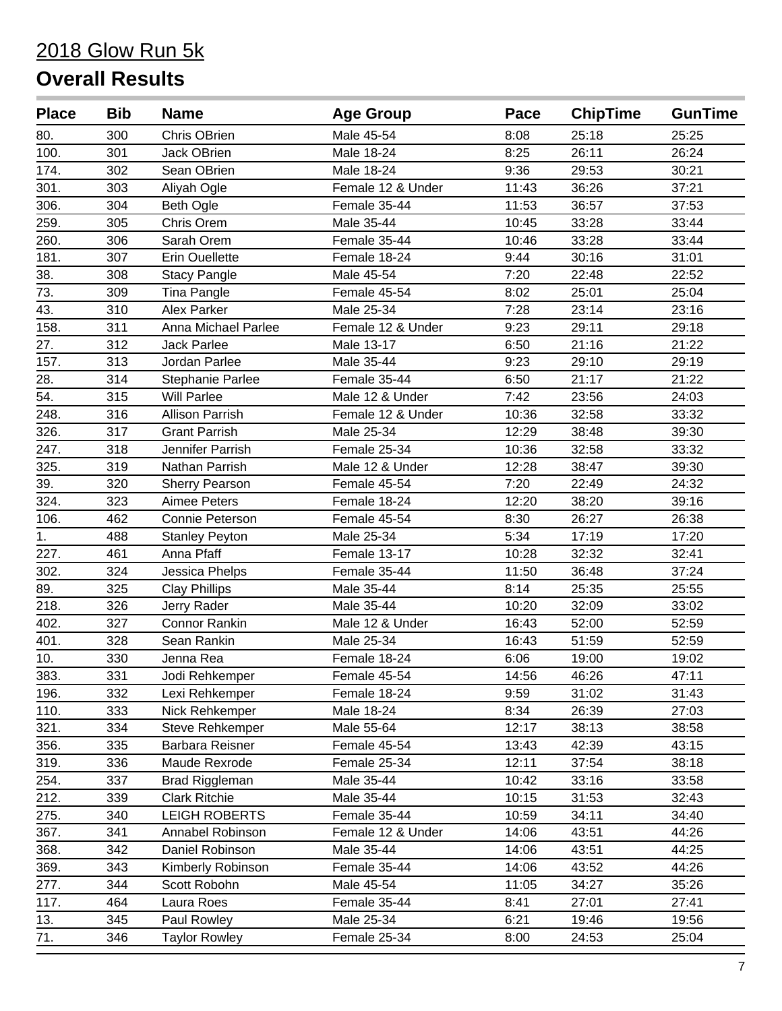| <b>Place</b> | <b>Bib</b> | <b>Name</b>            | <b>Age Group</b>  | Pace  | <b>ChipTime</b> | <b>GunTime</b> |
|--------------|------------|------------------------|-------------------|-------|-----------------|----------------|
| 80.          | 300        | Chris OBrien           | Male 45-54        | 8:08  | 25:18           | 25:25          |
| 100.         | 301        | Jack OBrien            | Male 18-24        | 8:25  | 26:11           | 26:24          |
| 174.         | 302        | Sean OBrien            | Male 18-24        | 9:36  | 29:53           | 30:21          |
| 301.         | 303        | Aliyah Ogle            | Female 12 & Under | 11:43 | 36:26           | 37:21          |
| 306.         | 304        | <b>Beth Ogle</b>       | Female 35-44      | 11:53 | 36:57           | 37:53          |
| 259.         | 305        | Chris Orem             | Male 35-44        | 10:45 | 33:28           | 33:44          |
| 260.         | 306        | Sarah Orem             | Female 35-44      | 10:46 | 33:28           | 33:44          |
| 181.         | 307        | <b>Erin Ouellette</b>  | Female 18-24      | 9:44  | 30:16           | 31:01          |
| 38.          | 308        | <b>Stacy Pangle</b>    | Male 45-54        | 7:20  | 22:48           | 22:52          |
| 73.          | 309        | Tina Pangle            | Female 45-54      | 8:02  | 25:01           | 25:04          |
| 43.          | 310        | <b>Alex Parker</b>     | Male 25-34        | 7:28  | 23:14           | 23:16          |
| 158.         | 311        | Anna Michael Parlee    | Female 12 & Under | 9:23  | 29:11           | 29:18          |
| 27.          | 312        | <b>Jack Parlee</b>     | Male 13-17        | 6:50  | 21:16           | 21:22          |
| 157.         | 313        | Jordan Parlee          | Male 35-44        | 9:23  | 29:10           | 29:19          |
| 28.          | 314        | Stephanie Parlee       | Female 35-44      | 6:50  | 21:17           | 21:22          |
| 54.          | 315        | <b>Will Parlee</b>     | Male 12 & Under   | 7:42  | 23:56           | 24:03          |
| 248.         | 316        | <b>Allison Parrish</b> | Female 12 & Under | 10:36 | 32:58           | 33:32          |
| 326.         | 317        | <b>Grant Parrish</b>   | Male 25-34        | 12:29 | 38:48           | 39:30          |
| 247.         | 318        | Jennifer Parrish       | Female 25-34      | 10:36 | 32:58           | 33:32          |
| 325.         | 319        | Nathan Parrish         | Male 12 & Under   | 12:28 | 38:47           | 39:30          |
| 39.          | 320        | <b>Sherry Pearson</b>  | Female 45-54      | 7:20  | 22:49           | 24:32          |
| 324.         | 323        | Aimee Peters           | Female 18-24      | 12:20 | 38:20           | 39:16          |
| 106.         | 462        | Connie Peterson        | Female 45-54      | 8:30  | 26:27           | 26:38          |
| 1.           | 488        | <b>Stanley Peyton</b>  | Male 25-34        | 5:34  | 17:19           | 17:20          |
| 227.         | 461        | Anna Pfaff             | Female 13-17      | 10:28 | 32:32           | 32:41          |
| 302.         | 324        | Jessica Phelps         | Female 35-44      | 11:50 | 36:48           | 37:24          |
| 89.          | 325        | <b>Clay Phillips</b>   | Male 35-44        | 8:14  | 25:35           | 25:55          |
| 218.         | 326        | Jerry Rader            | Male 35-44        | 10:20 | 32:09           | 33:02          |
| 402.         | 327        | <b>Connor Rankin</b>   | Male 12 & Under   | 16:43 | 52:00           | 52:59          |
| 401.         | 328        | Sean Rankin            | Male 25-34        | 16:43 | 51:59           | 52:59          |
| 10.          | 330        | Jenna Rea              | Female 18-24      | 6:06  | 19:00           | 19:02          |
| 383.         | 331        | Jodi Rehkemper         | Female 45-54      | 14:56 | 46:26           | 47:11          |
| 196.         | 332        | Lexi Rehkemper         | Female 18-24      | 9:59  | 31:02           | 31:43          |
| 110.         | 333        | Nick Rehkemper         | Male 18-24        | 8:34  | 26:39           | 27:03          |
| 321.         | 334        | Steve Rehkemper        | Male 55-64        | 12:17 | 38:13           | 38:58          |
| 356.         | 335        | Barbara Reisner        | Female 45-54      | 13:43 | 42:39           | 43:15          |
| 319.         | 336        | Maude Rexrode          | Female 25-34      | 12:11 | 37:54           | 38:18          |
| 254.         | 337        | <b>Brad Riggleman</b>  | Male 35-44        | 10:42 | 33:16           | 33:58          |
| 212.         | 339        | <b>Clark Ritchie</b>   | Male 35-44        | 10:15 | 31:53           | 32:43          |
| 275.         | 340        | <b>LEIGH ROBERTS</b>   | Female 35-44      | 10:59 | 34:11           | 34:40          |
| 367.         | 341        | Annabel Robinson       | Female 12 & Under | 14:06 | 43:51           | 44:26          |
| 368.         | 342        | Daniel Robinson        | Male 35-44        | 14:06 | 43:51           | 44:25          |
| 369.         | 343        | Kimberly Robinson      | Female 35-44      | 14:06 | 43:52           | 44:26          |
| 277.         | 344        | Scott Robohn           | Male 45-54        | 11:05 | 34:27           | 35:26          |
| 117.         | 464        | Laura Roes             | Female 35-44      | 8:41  | 27:01           | 27:41          |
| 13.          | 345        | Paul Rowley            | Male 25-34        | 6:21  | 19:46           | 19:56          |
| 71.          | 346        | <b>Taylor Rowley</b>   | Female 25-34      | 8:00  | 24:53           | 25:04          |
|              |            |                        |                   |       |                 |                |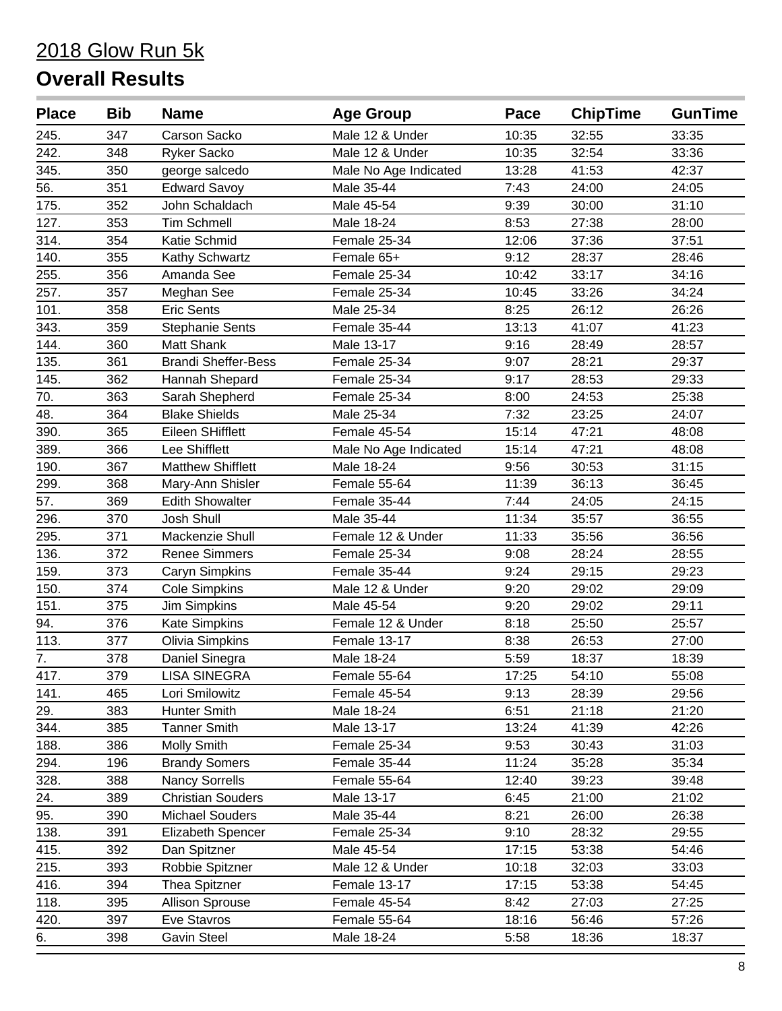| <b>Place</b> | <b>Bib</b> | <b>Name</b>                | <b>Age Group</b>      | Pace  | <b>ChipTime</b> | <b>GunTime</b> |
|--------------|------------|----------------------------|-----------------------|-------|-----------------|----------------|
| 245.         | 347        | Carson Sacko               | Male 12 & Under       | 10:35 | 32:55           | 33:35          |
| 242.         | 348        | <b>Ryker Sacko</b>         | Male 12 & Under       | 10:35 | 32:54           | 33:36          |
| 345.         | 350        | george salcedo             | Male No Age Indicated | 13:28 | 41:53           | 42:37          |
| 56.          | 351        | <b>Edward Savoy</b>        | Male 35-44            | 7:43  | 24:00           | 24:05          |
| 175.         | 352        | John Schaldach             | Male 45-54            | 9:39  | 30:00           | 31:10          |
| 127.         | 353        | <b>Tim Schmell</b>         | Male 18-24            | 8:53  | 27:38           | 28:00          |
| 314.         | 354        | Katie Schmid               | Female 25-34          | 12:06 | 37:36           | 37:51          |
| 140.         | 355        | Kathy Schwartz             | Female 65+            | 9:12  | 28:37           | 28:46          |
| 255.         | 356        | Amanda See                 | Female 25-34          | 10:42 | 33:17           | 34:16          |
| 257.         | 357        | Meghan See                 | Female 25-34          | 10:45 | 33:26           | 34:24          |
| 101.         | 358        | <b>Eric Sents</b>          | Male 25-34            | 8:25  | 26:12           | 26:26          |
| 343.         | 359        | <b>Stephanie Sents</b>     | Female 35-44          | 13:13 | 41:07           | 41:23          |
| 144.         | 360        | <b>Matt Shank</b>          | Male 13-17            | 9:16  | 28:49           | 28:57          |
| 135.         | 361        | <b>Brandi Sheffer-Bess</b> | Female 25-34          | 9:07  | 28:21           | 29:37          |
| 145.         | 362        | Hannah Shepard             | Female 25-34          | 9:17  | 28:53           | 29:33          |
| 70.          | 363        | Sarah Shepherd             | Female 25-34          | 8:00  | 24:53           | 25:38          |
| 48.          | 364        | <b>Blake Shields</b>       | Male 25-34            | 7:32  | 23:25           | 24:07          |
| 390.         | 365        | Eileen SHifflett           | Female 45-54          | 15:14 | 47:21           | 48:08          |
| 389.         | 366        | Lee Shifflett              | Male No Age Indicated | 15:14 | 47:21           | 48:08          |
| 190.         | 367        | <b>Matthew Shifflett</b>   | Male 18-24            | 9:56  | 30:53           | 31:15          |
| 299.         | 368        | Mary-Ann Shisler           | Female 55-64          | 11:39 | 36:13           | 36:45          |
| 57.          | 369        | <b>Edith Showalter</b>     | Female 35-44          | 7:44  | 24:05           | 24:15          |
| 296.         | 370        | Josh Shull                 | Male 35-44            | 11:34 | 35:57           | 36:55          |
| 295.         | 371        | Mackenzie Shull            | Female 12 & Under     | 11:33 | 35:56           | 36:56          |
| 136.         | 372        | <b>Renee Simmers</b>       | Female 25-34          | 9:08  | 28:24           | 28:55          |
| 159.         | 373        | Caryn Simpkins             | Female 35-44          | 9:24  | 29:15           | 29:23          |
| 150.         | 374        | <b>Cole Simpkins</b>       | Male 12 & Under       | 9:20  | 29:02           | 29:09          |
| 151.         | 375        | <b>Jim Simpkins</b>        | Male 45-54            | 9:20  | 29:02           | 29:11          |
| 94.          | 376        | <b>Kate Simpkins</b>       | Female 12 & Under     | 8:18  | 25:50           | 25:57          |
| 113.         | 377        | Olivia Simpkins            | Female 13-17          | 8:38  | 26:53           | 27:00          |
| 7.           | 378        | Daniel Sinegra             | Male 18-24            | 5:59  | 18:37           | 18:39          |
| 417.         | 379        | <b>LISA SINEGRA</b>        | Female 55-64          | 17:25 | 54:10           | 55:08          |
| 141.         | 465        | Lori Smilowitz             | Female 45-54          | 9:13  | 28:39           | 29:56          |
| 29.          | 383        | Hunter Smith               | Male 18-24            | 6:51  | 21:18           | 21:20          |
| 344.         | 385        | <b>Tanner Smith</b>        | Male 13-17            | 13:24 | 41:39           | 42:26          |
| 188.         | 386        | <b>Molly Smith</b>         | Female 25-34          | 9:53  | 30:43           | 31:03          |
| 294.         | 196        | <b>Brandy Somers</b>       | Female 35-44          | 11:24 | 35:28           | 35:34          |
| 328.         | 388        | <b>Nancy Sorrells</b>      | Female 55-64          | 12:40 | 39:23           | 39:48          |
| 24.          | 389        | <b>Christian Souders</b>   | Male 13-17            | 6:45  | 21:00           | 21:02          |
| 95.          | 390        | <b>Michael Souders</b>     | Male 35-44            | 8:21  | 26:00           | 26:38          |
| 138.         | 391        | Elizabeth Spencer          | Female 25-34          | 9:10  | 28:32           | 29:55          |
| 415.         | 392        | Dan Spitzner               | Male 45-54            | 17:15 | 53:38           | 54:46          |
| 215.         | 393        | Robbie Spitzner            | Male 12 & Under       | 10:18 | 32:03           | 33:03          |
| 416.         | 394        | Thea Spitzner              | Female 13-17          | 17:15 | 53:38           | 54:45          |
| 118.         | 395        | <b>Allison Sprouse</b>     | Female 45-54          | 8:42  | 27:03           | 27:25          |
| 420.         | 397        | Eve Stavros                | Female 55-64          | 18:16 | 56:46           | 57:26          |
| 6.           | 398        | <b>Gavin Steel</b>         | Male 18-24            | 5:58  | 18:36           | 18:37          |
|              |            |                            |                       |       |                 |                |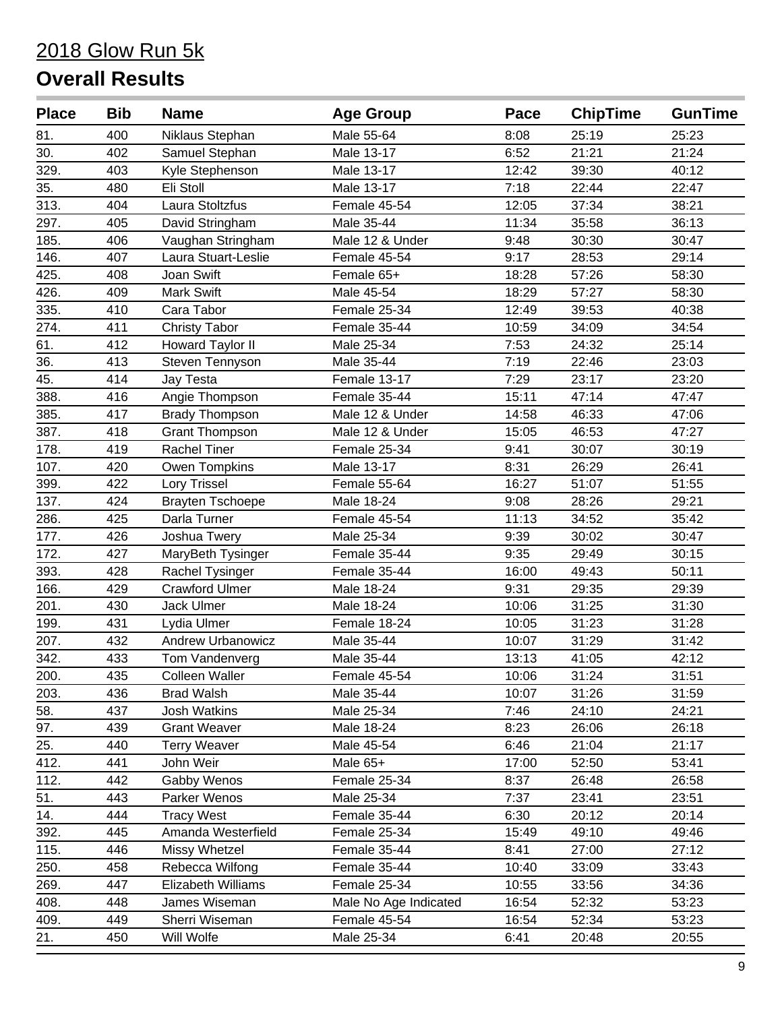| <b>Place</b> | <b>Bib</b> | <b>Name</b>              | <b>Age Group</b>      | Pace  | <b>ChipTime</b> | <b>GunTime</b> |
|--------------|------------|--------------------------|-----------------------|-------|-----------------|----------------|
| 81.          | 400        | Niklaus Stephan          | Male 55-64            | 8:08  | 25:19           | 25:23          |
| 30.          | 402        | Samuel Stephan           | Male 13-17            | 6:52  | 21:21           | 21:24          |
| 329.         | 403        | Kyle Stephenson          | Male 13-17            | 12:42 | 39:30           | 40:12          |
| 35.          | 480        | Eli Stoll                | Male 13-17            | 7:18  | 22:44           | 22:47          |
| 313.         | 404        | Laura Stoltzfus          | Female 45-54          | 12:05 | 37:34           | 38:21          |
| 297.         | 405        | David Stringham          | Male 35-44            | 11:34 | 35:58           | 36:13          |
| 185.         | 406        | Vaughan Stringham        | Male 12 & Under       | 9:48  | 30:30           | 30:47          |
| 146.         | 407        | Laura Stuart-Leslie      | Female 45-54          | 9:17  | 28:53           | 29:14          |
| 425.         | 408        | Joan Swift               | Female 65+            | 18:28 | 57:26           | 58:30          |
| 426.         | 409        | <b>Mark Swift</b>        | Male 45-54            | 18:29 | 57:27           | 58:30          |
| 335.         | 410        | Cara Tabor               | Female 25-34          | 12:49 | 39:53           | 40:38          |
| 274.         | 411        | <b>Christy Tabor</b>     | Female 35-44          | 10:59 | 34:09           | 34:54          |
| 61.          | 412        | <b>Howard Taylor II</b>  | Male 25-34            | 7:53  | 24:32           | 25:14          |
| 36.          | 413        | Steven Tennyson          | Male 35-44            | 7:19  | 22:46           | 23:03          |
| 45.          | 414        | Jay Testa                | Female 13-17          | 7:29  | 23:17           | 23:20          |
| 388.         | 416        | Angie Thompson           | Female 35-44          | 15:11 | 47:14           | 47:47          |
| 385.         | 417        | <b>Brady Thompson</b>    | Male 12 & Under       | 14:58 | 46:33           | 47:06          |
| 387.         | 418        | <b>Grant Thompson</b>    | Male 12 & Under       | 15:05 | 46:53           | 47:27          |
| 178.         | 419        | <b>Rachel Tiner</b>      | Female 25-34          | 9:41  | 30:07           | 30:19          |
| 107.         | 420        | Owen Tompkins            | Male 13-17            | 8:31  | 26:29           | 26:41          |
| 399.         | 422        | <b>Lory Trissel</b>      | Female 55-64          | 16:27 | 51:07           | 51:55          |
| 137.         | 424        | <b>Brayten Tschoepe</b>  | Male 18-24            | 9:08  | 28:26           | 29:21          |
| 286.         | 425        | Darla Turner             | Female 45-54          | 11:13 | 34:52           | 35:42          |
| 177.         | 426        | Joshua Twery             | Male 25-34            | 9:39  | 30:02           | 30:47          |
| 172.         | 427        | MaryBeth Tysinger        | Female 35-44          | 9:35  | 29:49           | 30:15          |
| 393.         | 428        | Rachel Tysinger          | Female 35-44          | 16:00 | 49:43           | 50:11          |
| 166.         | 429        | <b>Crawford Ulmer</b>    | Male 18-24            | 9:31  | 29:35           | 29:39          |
| 201.         | 430        | Jack Ulmer               | Male 18-24            | 10:06 | 31:25           | 31:30          |
| 199.         | 431        | Lydia Ulmer              | Female 18-24          | 10:05 | 31:23           | 31:28          |
| 207.         | 432        | <b>Andrew Urbanowicz</b> | Male 35-44            | 10:07 | 31:29           | 31:42          |
| 342.         | 433        | Tom Vandenverg           | Male 35-44            | 13:13 | 41:05           | 42:12          |
| 200.         | 435        | <b>Colleen Waller</b>    | Female 45-54          | 10:06 | 31:24           | 31:51          |
| 203.         | 436        | <b>Brad Walsh</b>        | Male 35-44            | 10:07 | 31:26           | 31:59          |
| 58.          | 437        | <b>Josh Watkins</b>      | Male 25-34            | 7:46  | 24:10           | 24:21          |
| 97.          | 439        | <b>Grant Weaver</b>      | Male 18-24            | 8:23  | 26:06           | 26:18          |
| 25.          | 440        | <b>Terry Weaver</b>      | Male 45-54            | 6:46  | 21:04           | 21:17          |
| 412.         | 441        | John Weir                | Male 65+              | 17:00 | 52:50           | 53:41          |
| 112.         | 442        | Gabby Wenos              | Female 25-34          | 8:37  | 26:48           | 26:58          |
| 51.          | 443        | Parker Wenos             | Male 25-34            | 7:37  | 23:41           | 23:51          |
| 14.          | 444        | <b>Tracy West</b>        | Female 35-44          | 6:30  | 20:12           | 20:14          |
| 392.         | 445        | Amanda Westerfield       | Female 25-34          | 15:49 | 49:10           | 49:46          |
| 115.         | 446        | Missy Whetzel            | Female 35-44          | 8:41  | 27:00           | 27:12          |
| 250.         | 458        | Rebecca Wilfong          | Female 35-44          | 10:40 | 33:09           | 33:43          |
| 269.         | 447        | Elizabeth Williams       | Female 25-34          | 10:55 | 33:56           | 34:36          |
| 408.         | 448        | James Wiseman            | Male No Age Indicated | 16:54 | 52:32           | 53:23          |
| 409.         | 449        | Sherri Wiseman           | Female 45-54          | 16:54 | 52:34           | 53:23          |
| 21.          | 450        | Will Wolfe               | Male 25-34            | 6:41  | 20:48           | 20:55          |
|              |            |                          |                       |       |                 |                |